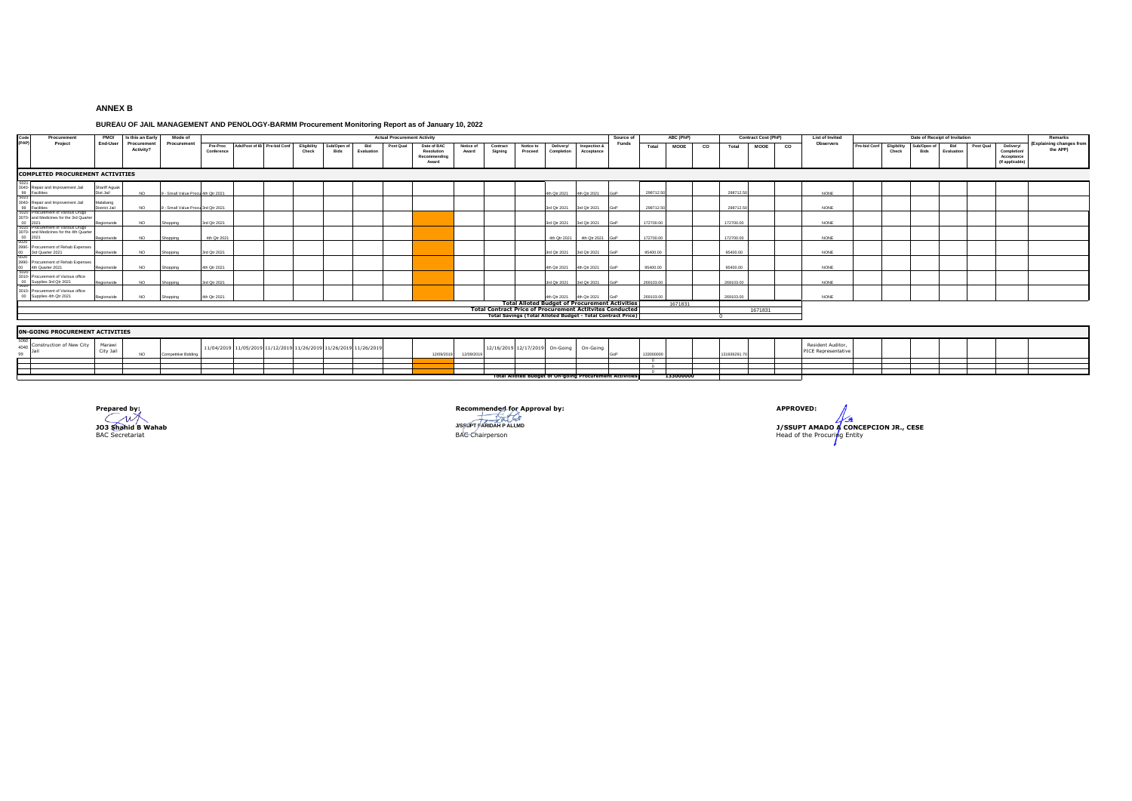## **ANNEX B**

## **BUREAU OF JAIL MANAGEMENT AND PENOLOGY-BARMM Procurement Monitoring Report as of January 10, 2022**

| Code<br>Procuremen                                                                      | PMO/                       | Is this an Early         | Mode of                          | <b>Actual Procurement Activity</b><br>ABC (PhP)<br><b>Contract Cost (PhP)</b><br>Source of |                                                                  |  |                      |                     |                   |           |                                                    |                    |                     |                                |                           | <b>List of Invited</b>                                                | Date of Receipt of Invitation |                   |             |    |             |             | Remarks     |                                                 |                                      |       |      |                   |           |                                                          |                                     |
|-----------------------------------------------------------------------------------------|----------------------------|--------------------------|----------------------------------|--------------------------------------------------------------------------------------------|------------------------------------------------------------------|--|----------------------|---------------------|-------------------|-----------|----------------------------------------------------|--------------------|---------------------|--------------------------------|---------------------------|-----------------------------------------------------------------------|-------------------------------|-------------------|-------------|----|-------------|-------------|-------------|-------------------------------------------------|--------------------------------------|-------|------|-------------------|-----------|----------------------------------------------------------|-------------------------------------|
| (PAP)<br>Project                                                                        | End-User                   | Procurement<br>Activity? | Procurement                      | Conference                                                                                 | Pre-Proc Ads/Post of IB Pre-bid Conf                             |  | Eligibility<br>Check | Sub/Open of<br>Bids | Bid<br>Evaluation | Post Qual | Date of BAC<br>Resolution<br>Recommending<br>Award | Notice of<br>Award | Contract<br>Signing | Notice to<br>Proceed           | Delivery<br>Completion    | Inspection &<br>Acceptance                                            | <b>Funds</b>                  | Total             | <b>MOOE</b> | co | Total       | <b>MOOE</b> | $_{\rm co}$ | Observers                                       | Pre-bid Conf Eligibility Sub/Open of | Check | Bids | Bid<br>Evaluation | Post Qual | Delivery<br>Completion/<br>Acceptance<br>(If applicable) | (Explaining changes fro<br>the APP) |
| <b>COMPLETED PROCUREMENT ACTIVITIES</b>                                                 |                            |                          |                                  |                                                                                            |                                                                  |  |                      |                     |                   |           |                                                    |                    |                     |                                |                           |                                                                       |                               |                   |             |    |             |             |             |                                                 |                                      |       |      |                   |           |                                                          |                                     |
| 3040- Repair and Improvement Jail<br>99 Facilities<br>5021                              | Shariff Aguak<br>Dist Jail | NO.                      | - Small Value Procu 4th Qtr 2021 |                                                                                            |                                                                  |  |                      |                     |                   |           |                                                    |                    |                     |                                | 4th Qtr 2021 4th Qtr 2021 |                                                                       |                               | 298712.5          |             |    | 298712      |             |             | NONE                                            |                                      |       |      |                   |           |                                                          |                                     |
| 3040- Repair and Improvement Jail<br>99 Facilities<br>5020 Procurement of Vanous Drugs  | Malabang<br>District Jail  | NO.                      | - Small Value Procu 3rd Qtr 2021 |                                                                                            |                                                                  |  |                      |                     |                   |           |                                                    |                    |                     |                                | 3rd Qtr 2021              | 3rd Qtr 2021                                                          |                               | 298712.5          |             |    | 298712.50   |             |             | NONE                                            |                                      |       |      |                   |           |                                                          |                                     |
| 3070- and Medicines for the 3rd Quarter<br>00 2021<br>5020 Procurement of Various Drugs | Regionwide                 | NO.                      | Shopping                         | 3rd Otr 2021                                                                               |                                                                  |  |                      |                     |                   |           |                                                    |                    |                     |                                | 3rd Qtr 2021 3rd Qtr 2021 |                                                                       |                               | 172700.00         |             |    | 172700.00   |             |             | NONE                                            |                                      |       |      |                   |           |                                                          |                                     |
| 3070- and Medicines for the 4th Quarter<br>00 2021<br>5020                              | Regionwide                 | NO.                      | Shopping                         | 4th Otr 2021                                                                               |                                                                  |  |                      |                     |                   |           |                                                    |                    |                     |                                | 4th Otr 2021              | 4th Qtr 2021                                                          |                               | 172700.00         |             |    | 172700.0    |             |             | NONE                                            |                                      |       |      |                   |           |                                                          |                                     |
| 3990- Procurement of Rehab Expenses<br>00 3rd Quarter 2021<br>5020                      | Regionwide                 | NO.                      | Shopping                         | 3rd Otr 2021                                                                               |                                                                  |  |                      |                     |                   |           |                                                    |                    |                     |                                | 3rd Qtr 2021 3rd Qtr 2021 |                                                                       |                               | 95400.00          |             |    | 95400.00    |             |             | NONE                                            |                                      |       |      |                   |           |                                                          |                                     |
| 3990 Procurement of Rehab Expenses<br>00 4th Quarter 2021                               | Regionwide                 | NO.                      | Shooping                         | 4th Qtr 2021                                                                               |                                                                  |  |                      |                     |                   |           |                                                    |                    |                     |                                | 4th Otr 2021              | 4th Otr 2021                                                          |                               | 95400.00          |             |    | 95400.00    |             |             | NONE                                            |                                      |       |      |                   |           |                                                          |                                     |
| 3010- Procurement of Various office<br>00 Supplies 3rd Qtr 2021                         | Regionwide                 | NO.                      | Shonning                         | 3rd Otr 2021                                                                               |                                                                  |  |                      |                     |                   |           |                                                    |                    |                     |                                | 3rd Otr 2021 3rd Otr 2021 |                                                                       |                               | 269103.00         |             |    | 269103.00   |             |             | NONE                                            |                                      |       |      |                   |           |                                                          |                                     |
| 3010- Procurement of Various office<br>00 Supplies 4th Qtr 2021                         | Regionwide                 | NO.                      | Shopping                         | 4th Otr 2021                                                                               |                                                                  |  |                      |                     |                   |           |                                                    |                    |                     |                                | 4th Otr 2021              | 4th Qtr 2021<br><b>Total Alloted Budget of Procurement Activities</b> |                               | 269103.00         |             |    | 269103.00   |             |             | NONE                                            |                                      |       |      |                   |           |                                                          |                                     |
|                                                                                         |                            |                          |                                  |                                                                                            |                                                                  |  |                      |                     |                   |           |                                                    |                    |                     |                                |                           | <b>Total Contract Price of Procurement Actitvites Conducted</b>       |                               |                   | 1671831     |    |             | 1671831     |             |                                                 |                                      |       |      |                   |           |                                                          |                                     |
|                                                                                         |                            |                          |                                  |                                                                                            |                                                                  |  |                      |                     |                   |           |                                                    |                    |                     |                                |                           | <b>Total Savings (Total Alloted Budget - Total Contract Price</b>     |                               |                   |             |    |             |             |             |                                                 |                                      |       |      |                   |           |                                                          |                                     |
|                                                                                         |                            |                          |                                  |                                                                                            |                                                                  |  |                      |                     |                   |           |                                                    |                    |                     |                                |                           |                                                                       |                               |                   |             |    |             |             |             |                                                 |                                      |       |      |                   |           |                                                          |                                     |
| <b>ON-GOING PROCUREMENT ACTIVITIES</b>                                                  |                            |                          |                                  |                                                                                            |                                                                  |  |                      |                     |                   |           |                                                    |                    |                     |                                |                           |                                                                       |                               |                   |             |    |             |             |             |                                                 |                                      |       |      |                   |           |                                                          |                                     |
| Construction of New City<br>4040                                                        | Marawi<br>City Jail        | NO.                      | Competitive Bidding              |                                                                                            | 11/04/2019 11/05/2019 11/12/2019 11/26/2019 11/26/2019 11/26/201 |  |                      |                     |                   |           | 12/09/2019                                         | 12/09/201          |                     | 12/16/2019 12/17/2019 On-Going |                           | On-Going                                                              |                               | 133000000         |             |    | 131936291.7 |             |             | Resident Auditor.<br><b>PICE Representative</b> |                                      |       |      |                   |           |                                                          |                                     |
|                                                                                         |                            |                          |                                  |                                                                                            |                                                                  |  |                      |                     |                   |           |                                                    |                    |                     |                                |                           |                                                                       |                               | $\sim$<br>$\circ$ |             |    |             |             |             |                                                 |                                      |       |      |                   |           |                                                          |                                     |
|                                                                                         |                            |                          |                                  |                                                                                            |                                                                  |  |                      |                     |                   |           |                                                    |                    |                     |                                |                           | <b>Total Alloted Budget of On-going Procurement Activities</b>        |                               | $^{\circ}$        | 133000000   |    |             |             |             |                                                 |                                      |       |      |                   |           |                                                          |                                     |



**Precommended for Approval by: APPROVED:**<br> **PROVED:**<br>
JISSUPT ANIMO

BAC Secretariat BAC Chairperson Head of the Procuring Entity **J/SSUPT FARIDAH P ALI,MD J/SSUPT AMADO A CONCEPCION JR., CESE**